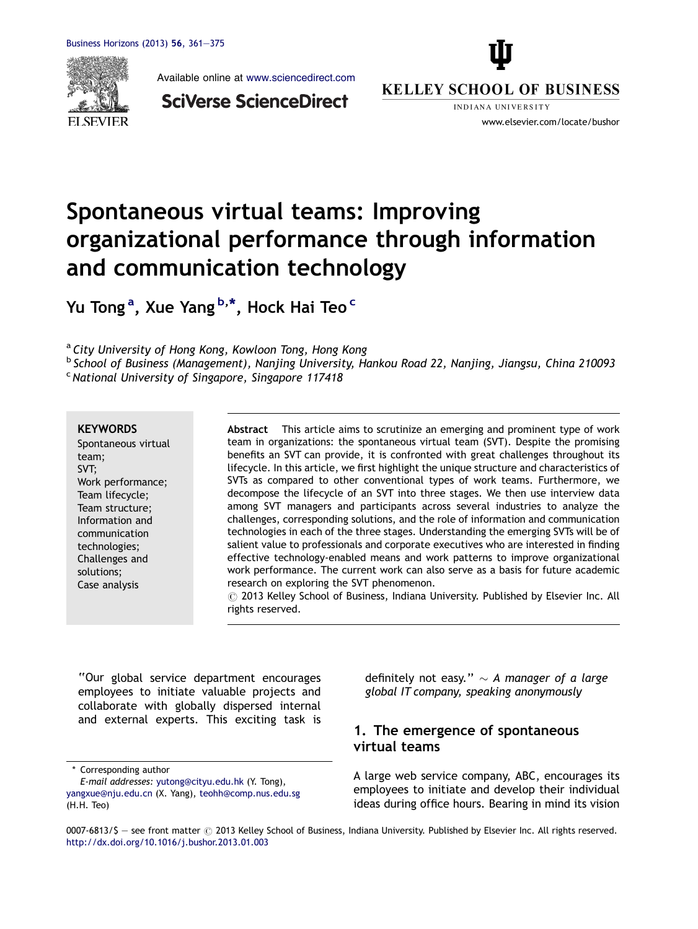

Available online at [www.sciencedirect.com](http://www.sciencedirect.com/science/journal/00076813) **SciVerse ScienceDirect** 



**KELLEY SCHOOL OF BUSINESS** 

INDIANA IINIVERSITY

www.elsevier.com/locate/bushor

# Spontaneous virtual teams: Improving organizational performance through information and communication technology

Yu Tong<sup>a</sup>, Xue Yang<sup>b,\*</sup>, Hock Hai Teo<sup>c</sup>

<sup>a</sup> City University of Hong Kong, Kowloon Tong, Hong Kong

 $b$  School of Business (Management), Nanjing University, Hankou Road 22, Nanjing, Jiangsu, China 210093<br><sup>c</sup>National University of Singapore, Singapore 117418

#### **KEYWORDS**

Spontaneous virtual team; SVT; Work performance; Team lifecycle; Team structure; Information and communication technologies; Challenges and solutions; Case analysis

Abstract This article aims to scrutinize an emerging and prominent type of work team in organizations: the spontaneous virtual team (SVT). Despite the promising benefits an SVT can provide, it is confronted with great challenges throughout its lifecycle. In this article, we first highlight the unique structure and characteristics of SVTs as compared to other conventional types of work teams. Furthermore, we decompose the lifecycle of an SVT into three stages. We then use interview data among SVT managers and participants across several industries to analyze the challenges, corresponding solutions, and the role of information and communication technologies in each of the three stages. Understanding the emerging SVTs will be of salient value to professionals and corporate executives who are interested in finding effective technology-enabled means and work patterns to improve organizational work performance. The current work can also serve as a basis for future academic research on exploring the SVT phenomenon.

© 2013 Kelley School of Business, Indiana University. Published by Elsevier Inc. All rights reserved.

''Our global service department encourages employees to initiate valuable projects and collaborate with globally dispersed internal and external experts. This exciting task is

definitely not easy."  $\sim$  A manager of a large global IT company, speaking anonymously

### 1. The emergence of spontaneous virtual teams

A large web service company, ABC, encourages its employees to initiate and develop their individual ideas during office hours. Bearing in mind its vision

<sup>\*</sup> Corresponding author

E-mail addresses: [yutong@cityu.edu.hk](mailto:yutong@cityu.edu.hk) (Y. Tong), [yangxue@nju.edu.cn](mailto:yangxue@nju.edu.cn) (X. Yang), [teohh@comp.nus.edu.sg](mailto:teohh@comp.nus.edu.sg) (H.H. Teo)

<sup>0007-6813/\$ -</sup> see front matter @ 2013 Kelley School of Business, Indiana University. Published by Elsevier Inc. All rights reserved. <http://dx.doi.org/10.1016/j.bushor.2013.01.003>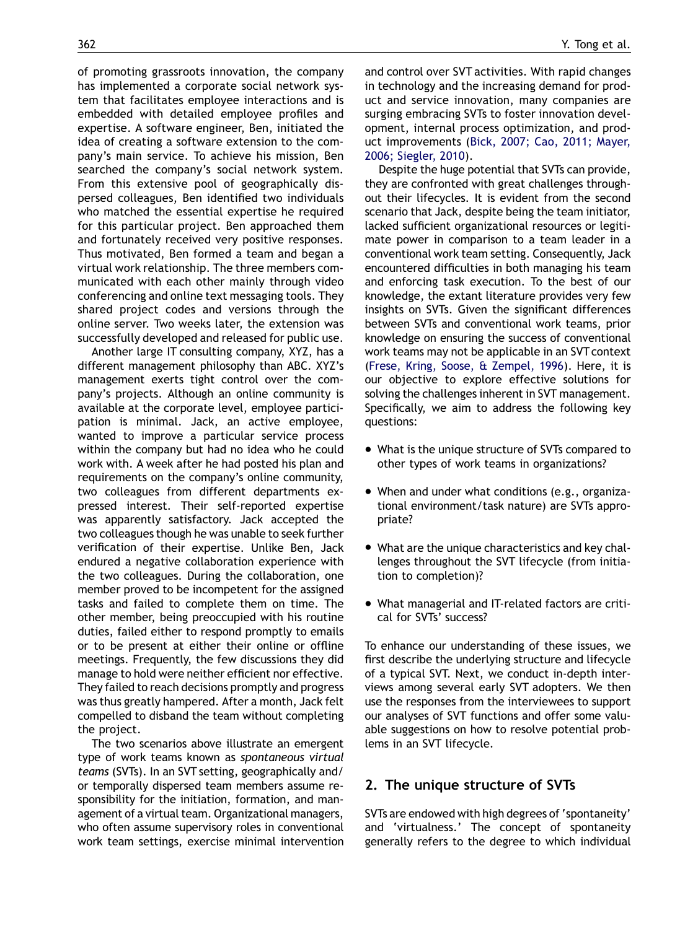of promoting grassroots innovation, the company has implemented a corporate social network system that facilitates employee interactions and is embedded with detailed employee profiles and expertise. A software engineer, Ben, initiated the idea of creating a software extension to the company's main service. To achieve his mission, Ben searched the company's social network system. From this extensive pool of geographically dispersed colleagues, Ben identified two individuals who matched the essential expertise he required for this particular project. Ben approached them and fortunately received very positive responses. Thus motivated, Ben formed a team and began a virtual work relationship. The three members communicated with each other mainly through video conferencing and online text messaging tools. They shared project codes and versions through the online server. Two weeks later, the extension was successfully developed and released for public use.

Another large IT consulting company, XYZ, has a different management philosophy than ABC. XYZ's management exerts tight control over the company's projects. Although an online community is available at the corporate level, employee participation is minimal. Jack, an active employee, wanted to improve a particular service process within the company but had no idea who he could work with. A week after he had posted his plan and requirements on the company's online community, two colleagues from different departments expressed interest. Their self-reported expertise was apparently satisfactory. Jack accepted the two colleagues though he was unable to seek further verification of their expertise. Unlike Ben, Jack endured a negative collaboration experience with the two colleagues. During the collaboration, one member proved to be incompetent for the assigned tasks and failed to complete them on time. The other member, being preoccupied with his routine duties, failed either to respond promptly to emails or to be present at either their online or offline meetings. Frequently, the few discussions they did manage to hold were neither efficient nor effective. They failed to reach decisions promptly and progress was thus greatly hampered. After a month, Jack felt compelled to disband the team without completing the project.

The two scenarios above illustrate an emergent type of work teams known as spontaneous virtual teams (SVTs). In an SVT setting, geographically and/ or temporally dispersed team members assume responsibility for the initiation, formation, and management of a virtual team. Organizational managers, who often assume supervisory roles in conventional work team settings, exercise minimal intervention and control over SVT activities. With rapid changes in technology and the increasing demand for product and service innovation, many companies are surging embracing SVTs to foster innovation development, internal process optimization, and product improvements (Bick, 2007; Cao, 2011; [Mayer,](#page--1-0) 2006; [Siegler,](#page--1-0) 2010).

Despite the huge potential that SVTs can provide, they are confronted with great challenges throughout their lifecycles. It is evident from the second scenario that Jack, despite being the team initiator, lacked sufficient organizational resources or legitimate power in comparison to a team leader in a conventional work team setting. Consequently, Jack encountered difficulties in both managing his team and enforcing task execution. To the best of our knowledge, the extant literature provides very few insights on SVTs. Given the significant differences between SVTs and conventional work teams, prior knowledge on ensuring the success of conventional work teams may not be applicable in an SVT context (Frese, Kring, Soose, & [Zempel,](#page--1-0) 1996). Here, it is our objective to explore effective solutions for solving the challenges inherent in SVT management. Specifically, we aim to address the following key questions:

- What is the unique structure of SVTs compared to other types of work teams in organizations?
- When and under what conditions (e.g., organizational environment/task nature) are SVTs appropriate?
- What are the unique characteristics and key challenges throughout the SVT lifecycle (from initiation to completion)?
- What managerial and IT-related factors are critical for SVTs' success?

To enhance our understanding of these issues, we first describe the underlying structure and lifecycle of a typical SVT. Next, we conduct in-depth interviews among several early SVT adopters. We then use the responses from the interviewees to support our analyses of SVT functions and offer some valuable suggestions on how to resolve potential problems in an SVT lifecycle.

#### 2. The unique structure of SVTs

SVTs are endowed with high degrees of 'spontaneity' and 'virtualness.' The concept of spontaneity generally refers to the degree to which individual